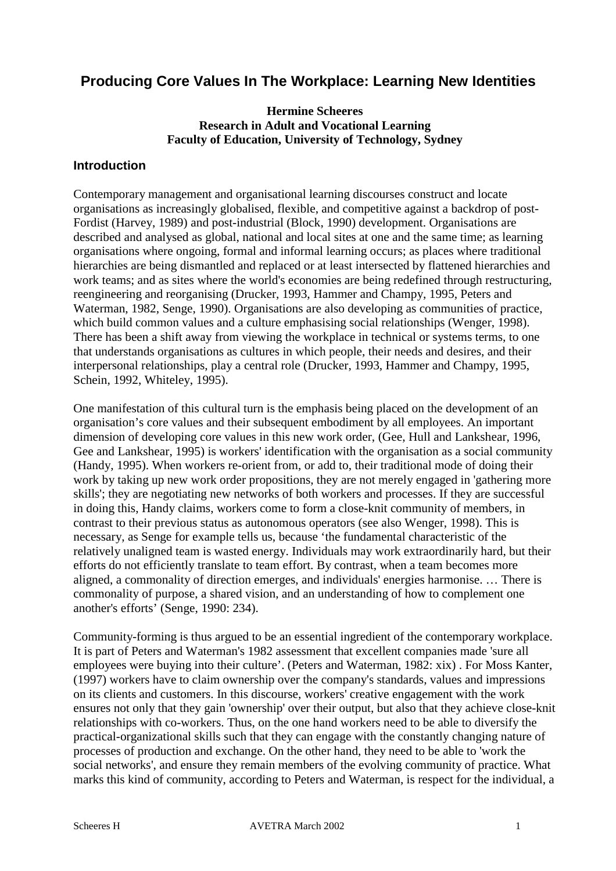# **Producing Core Values In The Workplace: Learning New Identities**

## **Hermine Scheeres Research in Adult and Vocational Learning Faculty of Education, University of Technology, Sydney**

## **Introduction**

Contemporary management and organisational learning discourses construct and locate organisations as increasingly globalised, flexible, and competitive against a backdrop of post-Fordist (Harvey, 1989) and post-industrial (Block, 1990) development. Organisations are described and analysed as global, national and local sites at one and the same time; as learning organisations where ongoing, formal and informal learning occurs; as places where traditional hierarchies are being dismantled and replaced or at least intersected by flattened hierarchies and work teams; and as sites where the world's economies are being redefined through restructuring, reengineering and reorganising (Drucker, 1993, Hammer and Champy, 1995, Peters and Waterman, 1982, Senge, 1990). Organisations are also developing as communities of practice, which build common values and a culture emphasising social relationships (Wenger, 1998). There has been a shift away from viewing the workplace in technical or systems terms, to one that understands organisations as cultures in which people, their needs and desires, and their interpersonal relationships, play a central role (Drucker, 1993, Hammer and Champy, 1995, Schein, 1992, Whiteley, 1995).

One manifestation of this cultural turn is the emphasis being placed on the development of an organisation's core values and their subsequent embodiment by all employees. An important dimension of developing core values in this new work order, (Gee, Hull and Lankshear, 1996, Gee and Lankshear, 1995) is workers' identification with the organisation as a social community (Handy, 1995). When workers re-orient from, or add to, their traditional mode of doing their work by taking up new work order propositions, they are not merely engaged in 'gathering more skills'; they are negotiating new networks of both workers and processes. If they are successful in doing this, Handy claims, workers come to form a close-knit community of members, in contrast to their previous status as autonomous operators (see also Wenger, 1998). This is necessary, as Senge for example tells us, because 'the fundamental characteristic of the relatively unaligned team is wasted energy. Individuals may work extraordinarily hard, but their efforts do not efficiently translate to team effort. By contrast, when a team becomes more aligned, a commonality of direction emerges, and individuals' energies harmonise. … There is commonality of purpose, a shared vision, and an understanding of how to complement one another's efforts' (Senge, 1990: 234).

Community-forming is thus argued to be an essential ingredient of the contemporary workplace. It is part of Peters and Waterman's 1982 assessment that excellent companies made 'sure all employees were buying into their culture'. (Peters and Waterman, 1982: xix) . For Moss Kanter, (1997) workers have to claim ownership over the company's standards, values and impressions on its clients and customers. In this discourse, workers' creative engagement with the work ensures not only that they gain 'ownership' over their output, but also that they achieve close-knit relationships with co-workers. Thus, on the one hand workers need to be able to diversify the practical-organizational skills such that they can engage with the constantly changing nature of processes of production and exchange. On the other hand, they need to be able to 'work the social networks', and ensure they remain members of the evolving community of practice. What marks this kind of community, according to Peters and Waterman, is respect for the individual, a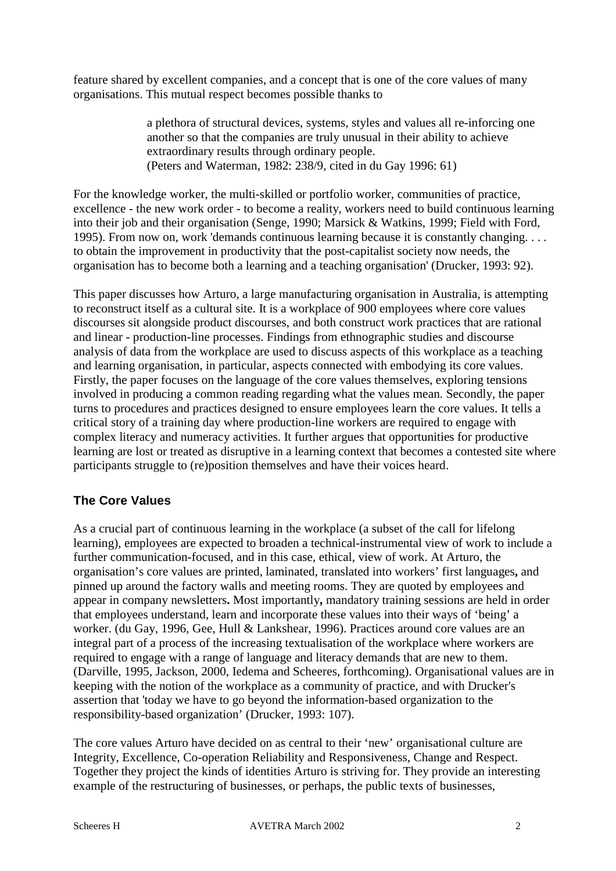feature shared by excellent companies, and a concept that is one of the core values of many organisations. This mutual respect becomes possible thanks to

> a plethora of structural devices, systems, styles and values all re-inforcing one another so that the companies are truly unusual in their ability to achieve extraordinary results through ordinary people. (Peters and Waterman, 1982: 238/9, cited in du Gay 1996: 61)

For the knowledge worker, the multi-skilled or portfolio worker, communities of practice, excellence - the new work order - to become a reality, workers need to build continuous learning into their job and their organisation (Senge, 1990; Marsick & Watkins, 1999; Field with Ford, 1995). From now on, work 'demands continuous learning because it is constantly changing. . . . to obtain the improvement in productivity that the post-capitalist society now needs, the organisation has to become both a learning and a teaching organisation' (Drucker, 1993: 92).

This paper discusses how Arturo, a large manufacturing organisation in Australia, is attempting to reconstruct itself as a cultural site. It is a workplace of 900 employees where core values discourses sit alongside product discourses, and both construct work practices that are rational and linear - production-line processes. Findings from ethnographic studies and discourse analysis of data from the workplace are used to discuss aspects of this workplace as a teaching and learning organisation, in particular, aspects connected with embodying its core values. Firstly, the paper focuses on the language of the core values themselves, exploring tensions involved in producing a common reading regarding what the values mean. Secondly, the paper turns to procedures and practices designed to ensure employees learn the core values. It tells a critical story of a training day where production-line workers are required to engage with complex literacy and numeracy activities. It further argues that opportunities for productive learning are lost or treated as disruptive in a learning context that becomes a contested site where participants struggle to (re)position themselves and have their voices heard.

## **The Core Values**

As a crucial part of continuous learning in the workplace (a subset of the call for lifelong learning), employees are expected to broaden a technical-instrumental view of work to include a further communication-focused, and in this case, ethical, view of work. At Arturo, the organisation's core values are printed, laminated, translated into workers' first languages**,** and pinned up around the factory walls and meeting rooms. They are quoted by employees and appear in company newsletters**.** Most importantly**,** mandatory training sessions are held in order that employees understand, learn and incorporate these values into their ways of 'being' a worker. (du Gay, 1996, Gee, Hull & Lankshear, 1996). Practices around core values are an integral part of a process of the increasing textualisation of the workplace where workers are required to engage with a range of language and literacy demands that are new to them. (Darville, 1995, Jackson, 2000, Iedema and Scheeres, forthcoming). Organisational values are in keeping with the notion of the workplace as a community of practice, and with Drucker's assertion that 'today we have to go beyond the information-based organization to the responsibility-based organization' (Drucker, 1993: 107).

The core values Arturo have decided on as central to their 'new' organisational culture are Integrity, Excellence, Co-operation Reliability and Responsiveness, Change and Respect. Together they project the kinds of identities Arturo is striving for. They provide an interesting example of the restructuring of businesses, or perhaps, the public texts of businesses,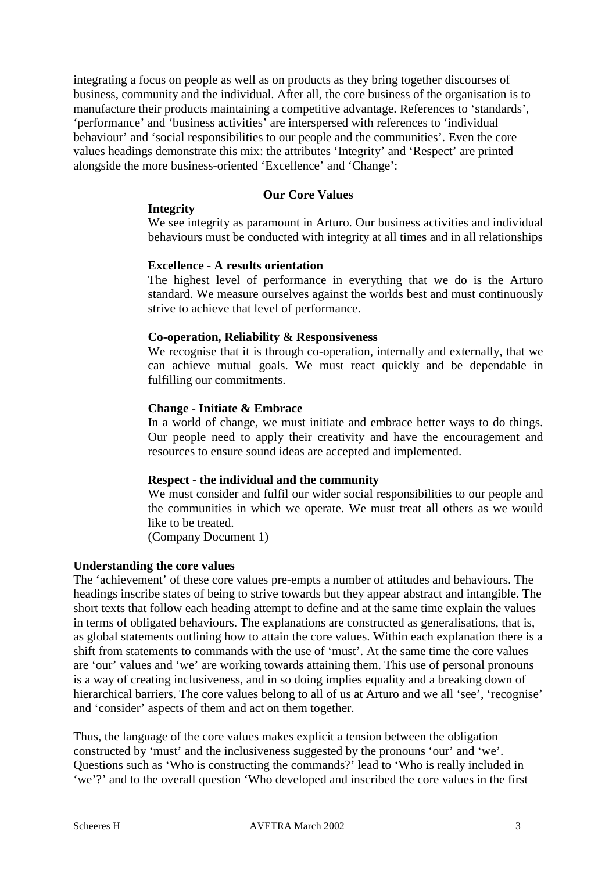integrating a focus on people as well as on products as they bring together discourses of business, community and the individual. After all, the core business of the organisation is to manufacture their products maintaining a competitive advantage. References to 'standards', 'performance' and 'business activities' are interspersed with references to 'individual behaviour' and 'social responsibilities to our people and the communities'. Even the core values headings demonstrate this mix: the attributes 'Integrity' and 'Respect' are printed alongside the more business-oriented 'Excellence' and 'Change':

#### **Our Core Values**

#### **Integrity**

We see integrity as paramount in Arturo. Our business activities and individual behaviours must be conducted with integrity at all times and in all relationships

#### **Excellence - A results orientation**

The highest level of performance in everything that we do is the Arturo standard. We measure ourselves against the worlds best and must continuously strive to achieve that level of performance.

#### **Co-operation, Reliability & Responsiveness**

We recognise that it is through co-operation, internally and externally, that we can achieve mutual goals. We must react quickly and be dependable in fulfilling our commitments.

#### **Change - Initiate & Embrace**

In a world of change, we must initiate and embrace better ways to do things. Our people need to apply their creativity and have the encouragement and resources to ensure sound ideas are accepted and implemented.

#### **Respect - the individual and the community**

We must consider and fulfil our wider social responsibilities to our people and the communities in which we operate. We must treat all others as we would like to be treated.

(Company Document 1)

#### **Understanding the core values**

The 'achievement' of these core values pre-empts a number of attitudes and behaviours. The headings inscribe states of being to strive towards but they appear abstract and intangible. The short texts that follow each heading attempt to define and at the same time explain the values in terms of obligated behaviours. The explanations are constructed as generalisations, that is, as global statements outlining how to attain the core values. Within each explanation there is a shift from statements to commands with the use of 'must'. At the same time the core values are 'our' values and 'we' are working towards attaining them. This use of personal pronouns is a way of creating inclusiveness, and in so doing implies equality and a breaking down of hierarchical barriers. The core values belong to all of us at Arturo and we all 'see', 'recognise' and 'consider' aspects of them and act on them together.

Thus, the language of the core values makes explicit a tension between the obligation constructed by 'must' and the inclusiveness suggested by the pronouns 'our' and 'we'. Questions such as 'Who is constructing the commands?' lead to 'Who is really included in 'we'?' and to the overall question 'Who developed and inscribed the core values in the first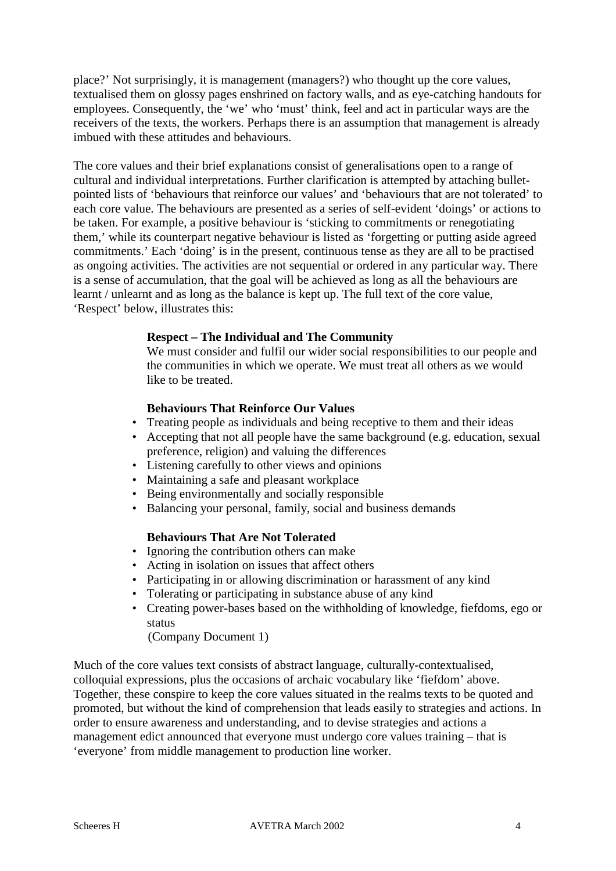place?' Not surprisingly, it is management (managers?) who thought up the core values, textualised them on glossy pages enshrined on factory walls, and as eye-catching handouts for employees. Consequently, the 'we' who 'must' think, feel and act in particular ways are the receivers of the texts, the workers. Perhaps there is an assumption that management is already imbued with these attitudes and behaviours.

The core values and their brief explanations consist of generalisations open to a range of cultural and individual interpretations. Further clarification is attempted by attaching bulletpointed lists of 'behaviours that reinforce our values' and 'behaviours that are not tolerated' to each core value. The behaviours are presented as a series of self-evident 'doings' or actions to be taken. For example, a positive behaviour is 'sticking to commitments or renegotiating them,' while its counterpart negative behaviour is listed as 'forgetting or putting aside agreed commitments.' Each 'doing' is in the present, continuous tense as they are all to be practised as ongoing activities. The activities are not sequential or ordered in any particular way. There is a sense of accumulation, that the goal will be achieved as long as all the behaviours are learnt / unlearnt and as long as the balance is kept up. The full text of the core value, 'Respect' below, illustrates this:

## **Respect – The Individual and The Community**

We must consider and fulfil our wider social responsibilities to our people and the communities in which we operate. We must treat all others as we would like to be treated.

#### **Behaviours That Reinforce Our Values**

- Treating people as individuals and being receptive to them and their ideas
- Accepting that not all people have the same background (e.g. education, sexual preference, religion) and valuing the differences
- Listening carefully to other views and opinions
- Maintaining a safe and pleasant workplace
- Being environmentally and socially responsible
- Balancing your personal, family, social and business demands

#### **Behaviours That Are Not Tolerated**

- Ignoring the contribution others can make
- Acting in isolation on issues that affect others
- Participating in or allowing discrimination or harassment of any kind
- Tolerating or participating in substance abuse of any kind
- Creating power-bases based on the withholding of knowledge, fiefdoms, ego or status

(Company Document 1)

Much of the core values text consists of abstract language, culturally-contextualised, colloquial expressions, plus the occasions of archaic vocabulary like 'fiefdom' above. Together, these conspire to keep the core values situated in the realms texts to be quoted and promoted, but without the kind of comprehension that leads easily to strategies and actions. In order to ensure awareness and understanding, and to devise strategies and actions a management edict announced that everyone must undergo core values training – that is 'everyone' from middle management to production line worker.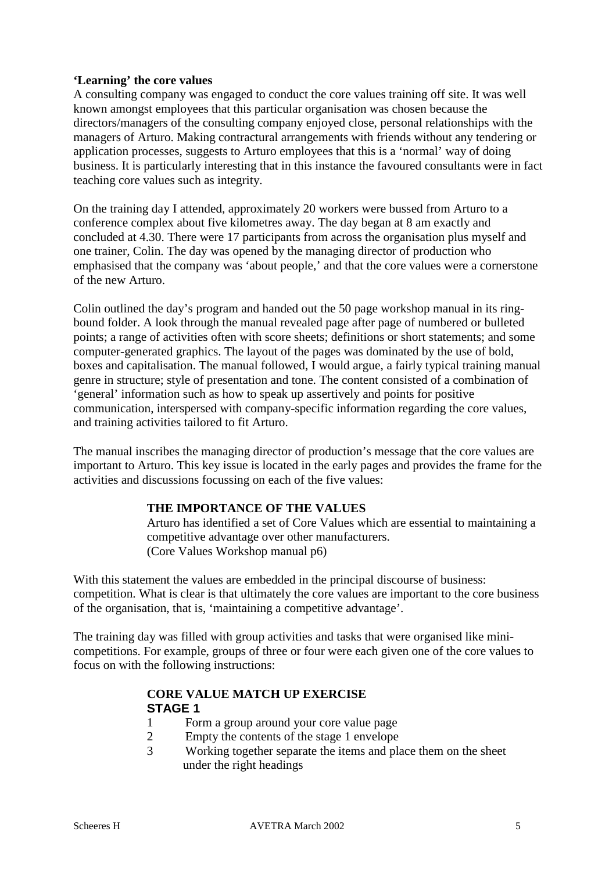## **'Learning' the core values**

A consulting company was engaged to conduct the core values training off site. It was well known amongst employees that this particular organisation was chosen because the directors/managers of the consulting company enjoyed close, personal relationships with the managers of Arturo. Making contractural arrangements with friends without any tendering or application processes, suggests to Arturo employees that this is a 'normal' way of doing business. It is particularly interesting that in this instance the favoured consultants were in fact teaching core values such as integrity.

On the training day I attended, approximately 20 workers were bussed from Arturo to a conference complex about five kilometres away. The day began at 8 am exactly and concluded at 4.30. There were 17 participants from across the organisation plus myself and one trainer, Colin. The day was opened by the managing director of production who emphasised that the company was 'about people,' and that the core values were a cornerstone of the new Arturo.

Colin outlined the day's program and handed out the 50 page workshop manual in its ringbound folder. A look through the manual revealed page after page of numbered or bulleted points; a range of activities often with score sheets; definitions or short statements; and some computer-generated graphics. The layout of the pages was dominated by the use of bold, boxes and capitalisation. The manual followed, I would argue, a fairly typical training manual genre in structure; style of presentation and tone. The content consisted of a combination of 'general' information such as how to speak up assertively and points for positive communication, interspersed with company-specific information regarding the core values, and training activities tailored to fit Arturo.

The manual inscribes the managing director of production's message that the core values are important to Arturo. This key issue is located in the early pages and provides the frame for the activities and discussions focussing on each of the five values:

#### **THE IMPORTANCE OF THE VALUES**

Arturo has identified a set of Core Values which are essential to maintaining a competitive advantage over other manufacturers. (Core Values Workshop manual p6)

With this statement the values are embedded in the principal discourse of business: competition. What is clear is that ultimately the core values are important to the core business of the organisation, that is, 'maintaining a competitive advantage'.

The training day was filled with group activities and tasks that were organised like minicompetitions. For example, groups of three or four were each given one of the core values to focus on with the following instructions:

## **CORE VALUE MATCH UP EXERCISE STAGE 1**

- 1 Form a group around your core value page
- 2 Empty the contents of the stage 1 envelope
- 3 Working together separate the items and place them on the sheet under the right headings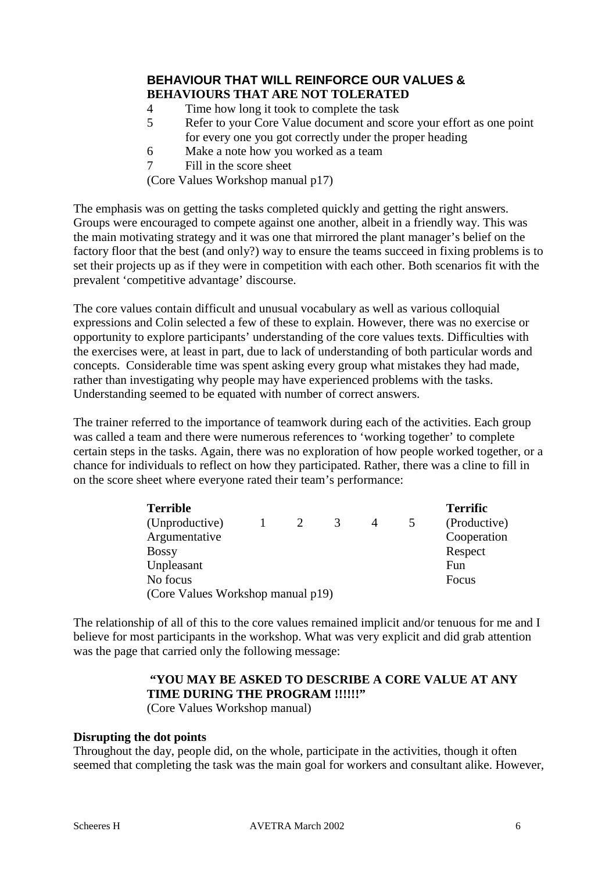## **BEHAVIOUR THAT WILL REINFORCE OUR VALUES & BEHAVIOURS THAT ARE NOT TOLERATED**

- 4 Time how long it took to complete the task
- 5 Refer to your Core Value document and score your effort as one point for every one you got correctly under the proper heading
- 6 Make a note how you worked as a team
- 7 Fill in the score sheet

(Core Values Workshop manual p17)

The emphasis was on getting the tasks completed quickly and getting the right answers. Groups were encouraged to compete against one another, albeit in a friendly way. This was the main motivating strategy and it was one that mirrored the plant manager's belief on the factory floor that the best (and only?) way to ensure the teams succeed in fixing problems is to set their projects up as if they were in competition with each other. Both scenarios fit with the prevalent 'competitive advantage' discourse.

The core values contain difficult and unusual vocabulary as well as various colloquial expressions and Colin selected a few of these to explain. However, there was no exercise or opportunity to explore participants' understanding of the core values texts. Difficulties with the exercises were, at least in part, due to lack of understanding of both particular words and concepts. Considerable time was spent asking every group what mistakes they had made, rather than investigating why people may have experienced problems with the tasks. Understanding seemed to be equated with number of correct answers.

The trainer referred to the importance of teamwork during each of the activities. Each group was called a team and there were numerous references to 'working together' to complete certain steps in the tasks. Again, there was no exploration of how people worked together, or a chance for individuals to reflect on how they participated. Rather, there was a cline to fill in on the score sheet where everyone rated their team's performance:

| <b>Terrible</b>                   |  |                       |   |   |  | <b>Terrific</b> |
|-----------------------------------|--|-----------------------|---|---|--|-----------------|
| (Unproductive)                    |  | $\mathcal{D}_{\cdot}$ | 3 | 4 |  | (Productive)    |
| Argumentative                     |  |                       |   |   |  | Cooperation     |
| <b>Bossy</b>                      |  |                       |   |   |  | Respect         |
| Unpleasant                        |  |                       |   |   |  | Fun             |
| No focus                          |  |                       |   |   |  | Focus           |
| (Core Values Workshop manual p19) |  |                       |   |   |  |                 |

The relationship of all of this to the core values remained implicit and/or tenuous for me and I believe for most participants in the workshop. What was very explicit and did grab attention was the page that carried only the following message:

## **"YOU MAY BE ASKED TO DESCRIBE A CORE VALUE AT ANY**  TIME DURING THE PROGRAM !!!!!!"

(Core Values Workshop manual)

#### **Disrupting the dot points**

Throughout the day, people did, on the whole, participate in the activities, though it often seemed that completing the task was the main goal for workers and consultant alike. However,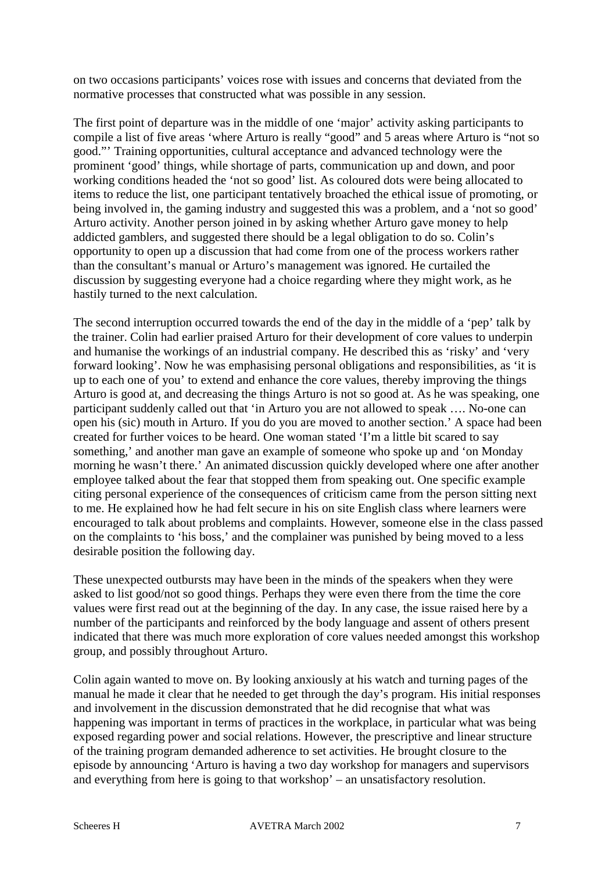on two occasions participants' voices rose with issues and concerns that deviated from the normative processes that constructed what was possible in any session.

The first point of departure was in the middle of one 'major' activity asking participants to compile a list of five areas 'where Arturo is really "good" and 5 areas where Arturo is "not so good."' Training opportunities, cultural acceptance and advanced technology were the prominent 'good' things, while shortage of parts, communication up and down, and poor working conditions headed the 'not so good' list. As coloured dots were being allocated to items to reduce the list, one participant tentatively broached the ethical issue of promoting, or being involved in, the gaming industry and suggested this was a problem, and a 'not so good' Arturo activity. Another person joined in by asking whether Arturo gave money to help addicted gamblers, and suggested there should be a legal obligation to do so. Colin's opportunity to open up a discussion that had come from one of the process workers rather than the consultant's manual or Arturo's management was ignored. He curtailed the discussion by suggesting everyone had a choice regarding where they might work, as he hastily turned to the next calculation.

The second interruption occurred towards the end of the day in the middle of a 'pep' talk by the trainer. Colin had earlier praised Arturo for their development of core values to underpin and humanise the workings of an industrial company. He described this as 'risky' and 'very forward looking'. Now he was emphasising personal obligations and responsibilities, as 'it is up to each one of you' to extend and enhance the core values, thereby improving the things Arturo is good at, and decreasing the things Arturo is not so good at. As he was speaking, one participant suddenly called out that 'in Arturo you are not allowed to speak …. No-one can open his (sic) mouth in Arturo. If you do you are moved to another section.' A space had been created for further voices to be heard. One woman stated 'I'm a little bit scared to say something,' and another man gave an example of someone who spoke up and 'on Monday morning he wasn't there.' An animated discussion quickly developed where one after another employee talked about the fear that stopped them from speaking out. One specific example citing personal experience of the consequences of criticism came from the person sitting next to me. He explained how he had felt secure in his on site English class where learners were encouraged to talk about problems and complaints. However, someone else in the class passed on the complaints to 'his boss,' and the complainer was punished by being moved to a less desirable position the following day.

These unexpected outbursts may have been in the minds of the speakers when they were asked to list good/not so good things. Perhaps they were even there from the time the core values were first read out at the beginning of the day. In any case, the issue raised here by a number of the participants and reinforced by the body language and assent of others present indicated that there was much more exploration of core values needed amongst this workshop group, and possibly throughout Arturo.

Colin again wanted to move on. By looking anxiously at his watch and turning pages of the manual he made it clear that he needed to get through the day's program. His initial responses and involvement in the discussion demonstrated that he did recognise that what was happening was important in terms of practices in the workplace, in particular what was being exposed regarding power and social relations. However, the prescriptive and linear structure of the training program demanded adherence to set activities. He brought closure to the episode by announcing 'Arturo is having a two day workshop for managers and supervisors and everything from here is going to that workshop' – an unsatisfactory resolution.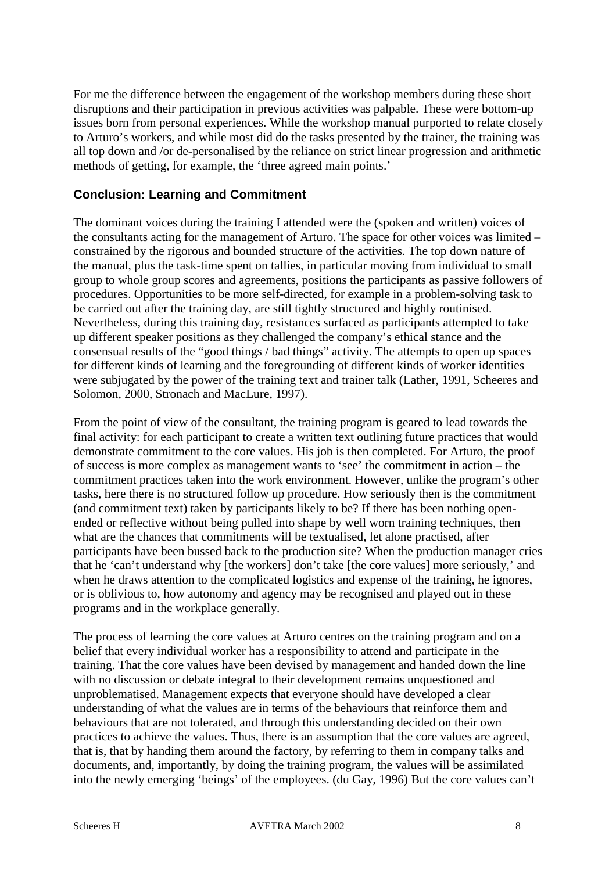For me the difference between the engagement of the workshop members during these short disruptions and their participation in previous activities was palpable. These were bottom-up issues born from personal experiences. While the workshop manual purported to relate closely to Arturo's workers, and while most did do the tasks presented by the trainer, the training was all top down and /or de-personalised by the reliance on strict linear progression and arithmetic methods of getting, for example, the 'three agreed main points.'

## **Conclusion: Learning and Commitment**

The dominant voices during the training I attended were the (spoken and written) voices of the consultants acting for the management of Arturo. The space for other voices was limited – constrained by the rigorous and bounded structure of the activities. The top down nature of the manual, plus the task-time spent on tallies, in particular moving from individual to small group to whole group scores and agreements, positions the participants as passive followers of procedures. Opportunities to be more self-directed, for example in a problem-solving task to be carried out after the training day, are still tightly structured and highly routinised. Nevertheless, during this training day, resistances surfaced as participants attempted to take up different speaker positions as they challenged the company's ethical stance and the consensual results of the "good things / bad things" activity. The attempts to open up spaces for different kinds of learning and the foregrounding of different kinds of worker identities were subjugated by the power of the training text and trainer talk (Lather, 1991, Scheeres and Solomon, 2000, Stronach and MacLure, 1997).

From the point of view of the consultant, the training program is geared to lead towards the final activity: for each participant to create a written text outlining future practices that would demonstrate commitment to the core values. His job is then completed. For Arturo, the proof of success is more complex as management wants to 'see' the commitment in action – the commitment practices taken into the work environment. However, unlike the program's other tasks, here there is no structured follow up procedure. How seriously then is the commitment (and commitment text) taken by participants likely to be? If there has been nothing openended or reflective without being pulled into shape by well worn training techniques, then what are the chances that commitments will be textualised, let alone practised, after participants have been bussed back to the production site? When the production manager cries that he 'can't understand why [the workers] don't take [the core values] more seriously,' and when he draws attention to the complicated logistics and expense of the training, he ignores, or is oblivious to, how autonomy and agency may be recognised and played out in these programs and in the workplace generally.

The process of learning the core values at Arturo centres on the training program and on a belief that every individual worker has a responsibility to attend and participate in the training. That the core values have been devised by management and handed down the line with no discussion or debate integral to their development remains unquestioned and unproblematised. Management expects that everyone should have developed a clear understanding of what the values are in terms of the behaviours that reinforce them and behaviours that are not tolerated, and through this understanding decided on their own practices to achieve the values. Thus, there is an assumption that the core values are agreed, that is, that by handing them around the factory, by referring to them in company talks and documents, and, importantly, by doing the training program, the values will be assimilated into the newly emerging 'beings' of the employees. (du Gay, 1996) But the core values can't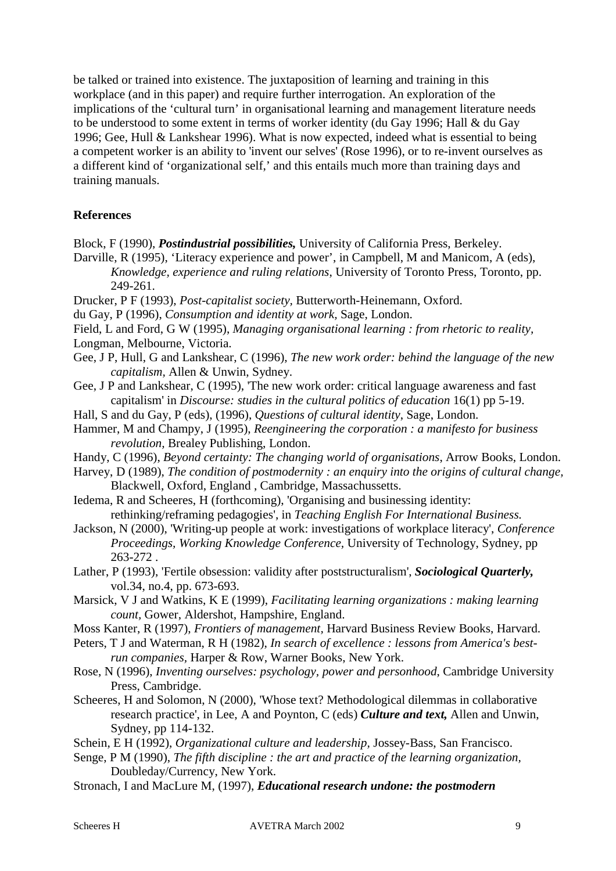be talked or trained into existence. The juxtaposition of learning and training in this workplace (and in this paper) and require further interrogation. An exploration of the implications of the 'cultural turn' in organisational learning and management literature needs to be understood to some extent in terms of worker identity (du Gay 1996; Hall & du Gay 1996; Gee, Hull & Lankshear 1996). What is now expected, indeed what is essential to being a competent worker is an ability to 'invent our selves' (Rose 1996), or to re-invent ourselves as a different kind of 'organizational self,' and this entails much more than training days and training manuals.

## **References**

- Block, F (1990), *Postindustrial possibilities,* University of California Press, Berkeley.
- Darville, R (1995), 'Literacy experience and power', in Campbell, M and Manicom, A (eds), *Knowledge, experience and ruling relations*, University of Toronto Press, Toronto, pp. 249-261.
- Drucker, P F (1993), *Post-capitalist society,* Butterworth-Heinemann, Oxford.
- du Gay, P (1996), *Consumption and identity at work,* Sage, London.
- Field, L and Ford, G W (1995), *Managing organisational learning : from rhetoric to reality,*  Longman, Melbourne, Victoria.
- Gee, J P, Hull, G and Lankshear, C (1996), *The new work order: behind the language of the new capitalism,* Allen & Unwin, Sydney.
- Gee, J P and Lankshear, C (1995), 'The new work order: critical language awareness and fast capitalism' in *Discourse: studies in the cultural politics of education* 16(1) pp 5-19.
- Hall, S and du Gay, P (eds), (1996), *Questions of cultural identity*, Sage, London.
- Hammer, M and Champy, J (1995), *Reengineering the corporation : a manifesto for business revolution,* Brealey Publishing, London.
- Handy, C (1996), *Beyond certainty: The changing world of organisations*, Arrow Books, London.
- Harvey, D (1989), *The condition of postmodernity : an enquiry into the origins of cultural change,* Blackwell, Oxford, England , Cambridge, Massachussetts.
- Iedema, R and Scheeres, H (forthcoming), 'Organising and businessing identity: rethinking/reframing pedagogies', in *Teaching English For International Business.*
- Jackson, N (2000), 'Writing-up people at work: investigations of workplace literacy', *Conference Proceedings, Working Knowledge Conference,* University of Technology, Sydney, pp 263-272 .
- Lather, P (1993), 'Fertile obsession: validity after poststructuralism', *Sociological Quarterly,*  vol.34, no.4, pp. 673-693.

Marsick, V J and Watkins, K E (1999), *Facilitating learning organizations : making learning count,* Gower, Aldershot, Hampshire, England.

- Moss Kanter, R (1997), *Frontiers of management,* Harvard Business Review Books, Harvard.
- Peters, T J and Waterman, R H (1982), *In search of excellence : lessons from America's bestrun companies,* Harper & Row, Warner Books, New York.
- Rose, N (1996), *Inventing ourselves: psychology, power and personhood*, Cambridge University Press, Cambridge.
- Scheeres, H and Solomon, N (2000), 'Whose text? Methodological dilemmas in collaborative research practice', in Lee, A and Poynton, C (eds) *Culture and text,* Allen and Unwin, Sydney, pp 114-132.
- Schein, E H (1992), *Organizational culture and leadership,* Jossey-Bass, San Francisco.
- Senge, P M (1990), *The fifth discipline : the art and practice of the learning organization,*  Doubleday/Currency, New York.
- Stronach, I and MacLure M, (1997), *Educational research undone: the postmodern*